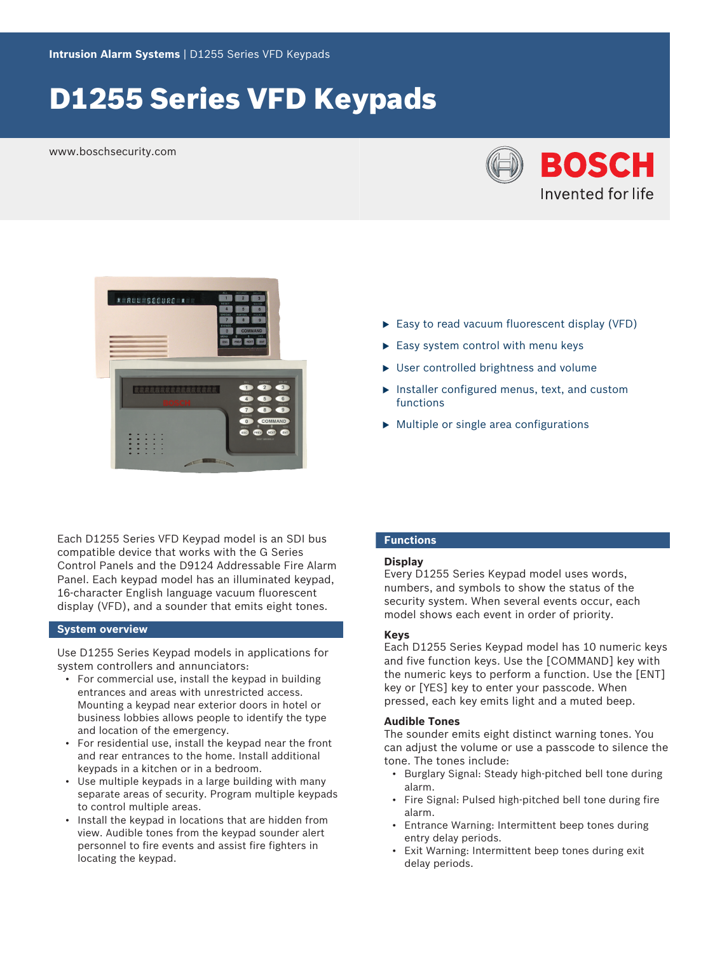# D1255 Series VFD Keypads

www.boschsecurity.com





Each D1255 Series VFD Keypad model is an SDI bus compatible device that works with the G Series Control Panels and the D9124 Addressable Fire Alarm Panel. Each keypad model has an illuminated keypad, 16-character English language vacuum fluorescent display (VFD), and a sounder that emits eight tones.

# **System overview**

Use D1255 Series Keypad models in applications for system controllers and annunciators:

- For commercial use, install the keypad in building entrances and areas with unrestricted access. Mounting a keypad near exterior doors in hotel or business lobbies allows people to identify the type and location of the emergency.
- For residential use, install the keypad near the front and rear entrances to the home. Install additional keypads in a kitchen or in a bedroom.
- Use multiple keypads in a large building with many separate areas of security. Program multiple keypads to control multiple areas.
- Install the keypad in locations that are hidden from view. Audible tones from the keypad sounder alert personnel to fire events and assist fire fighters in locating the keypad.
- $\blacktriangleright$  Easy to read vacuum fluorescent display (VFD)
- $\blacktriangleright$  Easy system control with menu keys
- $\triangleright$  User controlled brightness and volume
- $\blacktriangleright$  Installer configured menus, text, and custom functions
- $\blacktriangleright$  Multiple or single area configurations

# **Functions**

#### **Display**

Every D1255 Series Keypad model uses words, numbers, and symbols to show the status of the security system. When several events occur, each model shows each event in order of priority.

#### **Keys**

Each D1255 Series Keypad model has 10 numeric keys and five function keys. Use the [COMMAND] key with the numeric keys to perform a function. Use the [ENT] key or [YES] key to enter your passcode. When pressed, each key emits light and a muted beep.

#### **Audible Tones**

The sounder emits eight distinct warning tones. You can adjust the volume or use a passcode to silence the tone. The tones include:

- Burglary Signal: Steady high-pitched bell tone during alarm.
- Fire Signal: Pulsed high-pitched bell tone during fire alarm.
- Entrance Warning: Intermittent beep tones during entry delay periods.
- Exit Warning: Intermittent beep tones during exit delay periods.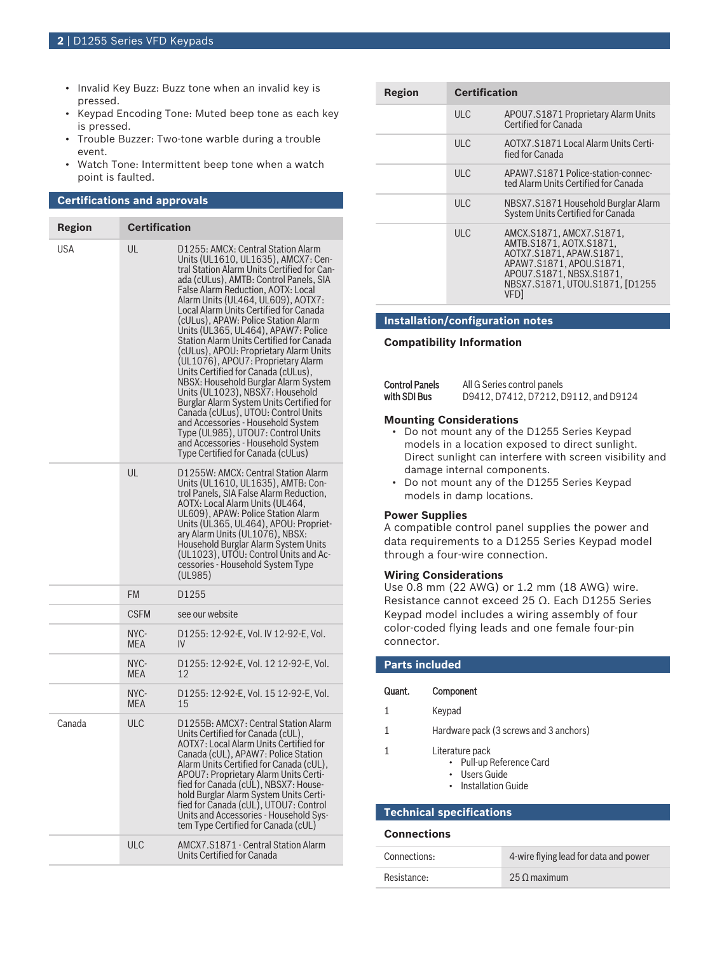- Invalid Key Buzz: Buzz tone when an invalid key is pressed.
- Keypad Encoding Tone: Muted beep tone as each key is pressed.
- Trouble Buzzer: Two-tone warble during a trouble event.
- Watch Tone: Intermittent beep tone when a watch point is faulted.

# **Certifications and approvals**

| <b>Region</b> | <b>Certification</b> |                                                                                                                                                                                                                                                                                                                                                                                                                                                                                                                                                                                                                                                                                                                                                                                                                                                                 |
|---------------|----------------------|-----------------------------------------------------------------------------------------------------------------------------------------------------------------------------------------------------------------------------------------------------------------------------------------------------------------------------------------------------------------------------------------------------------------------------------------------------------------------------------------------------------------------------------------------------------------------------------------------------------------------------------------------------------------------------------------------------------------------------------------------------------------------------------------------------------------------------------------------------------------|
| USA           | UL                   | D1255: AMCX: Central Station Alarm<br>Units (UL1610, UL1635), AMCX7: Cen-<br>tral Station Alarm Units Certified for Can-<br>ada (cULus), AMTB: Control Panels, SIA<br>False Alarm Reduction, AOTX: Local<br>Alarm Units (UL464, UL609), AOTX7:<br>Local Alarm Units Certified for Canada<br>(cULus), APAW: Police Station Alarm<br>Units (UL365, UL464), APAW7: Police<br>Station Alarm Units Certified for Canada<br>(cULus), APOU: Proprietary Alarm Units<br>(UL1076), APOU7: Proprietary Alarm<br>Units Certified for Canada (cULus),<br>NBSX: Household Burglar Alarm System<br>Units (UL1023), NBSX7: Household<br>Burglar Alarm System Units Certified for<br>Canada (cULus), UTOU: Control Units<br>and Accessories - Household System<br>Type (UL985), UTOU7: Control Units<br>and Accessories - Household System<br>Type Certified for Canada (cULus) |
|               | UL                   | D1255W: AMCX: Central Station Alarm<br>Units (UL1610, UL1635), AMTB: Con-<br>trol Panels, SIA False Alarm Reduction,<br>AOTX: Local Alarm Units (UL464,<br>UL609), APAW: Police Station Alarm<br>Units (UL365, UL464), APOU: Propriet-<br>ary Alarm Units (UL1076), NBSX:<br>Household Burglar Alarm System Units<br>(UL1023), UTOU: Control Units and Ac-<br>cessories - Household System Type<br>(UL985)                                                                                                                                                                                                                                                                                                                                                                                                                                                      |
|               | <b>FM</b>            | D <sub>1255</sub>                                                                                                                                                                                                                                                                                                                                                                                                                                                                                                                                                                                                                                                                                                                                                                                                                                               |
|               | <b>CSFM</b>          | see our website                                                                                                                                                                                                                                                                                                                                                                                                                                                                                                                                                                                                                                                                                                                                                                                                                                                 |
|               | NYC-<br><b>MEA</b>   | D1255: 12-92-E, Vol. IV 12-92-E, Vol.<br>IV                                                                                                                                                                                                                                                                                                                                                                                                                                                                                                                                                                                                                                                                                                                                                                                                                     |
|               | NYC-<br><b>MEA</b>   | D1255: 12-92-E, Vol. 12 12-92-E, Vol.<br>12                                                                                                                                                                                                                                                                                                                                                                                                                                                                                                                                                                                                                                                                                                                                                                                                                     |
|               | NYC-<br><b>MEA</b>   | D1255: 12-92-E, Vol. 15 12-92-E, Vol.<br>15                                                                                                                                                                                                                                                                                                                                                                                                                                                                                                                                                                                                                                                                                                                                                                                                                     |
| Canada        | <b>ULC</b>           | D1255B: AMCX7: Central Station Alarm<br>Units Certified for Canada (cUL),<br>AOTX7: Local Alarm Units Certified for<br>Canada (cUL), APAW7: Police Station<br>Alarm Units Certified for Canada (cUL),<br>APOU7: Proprietary Alarm Units Certi-<br>fied for Canada (cUL), NBSX7: House-<br>hold Burglar Alarm System Units Certi-<br>fied for Canada (cUL), UTOU7: Control<br>Units and Accessories - Household Sys-<br>tem Type Certified for Canada (cUL)                                                                                                                                                                                                                                                                                                                                                                                                      |
|               | <b>ULC</b>           | AMCX7.S1871 - Central Station Alarm<br>Units Certified for Canada                                                                                                                                                                                                                                                                                                                                                                                                                                                                                                                                                                                                                                                                                                                                                                                               |

| Region | <b>Certification</b> |                                                                                                                                                                                |
|--------|----------------------|--------------------------------------------------------------------------------------------------------------------------------------------------------------------------------|
|        | <b>ULC</b>           | APOU7.S1871 Proprietary Alarm Units<br>Certified for Canada                                                                                                                    |
|        | ULC                  | AOTX7.S1871 Local Alarm Units Certi-<br>fied for Canada                                                                                                                        |
|        | ULC                  | APAW7.S1871 Police-station-connec-<br>ted Alarm Units Certified for Canada                                                                                                     |
|        | ULC                  | NBSX7.S1871 Household Burglar Alarm<br>System Units Certified for Canada                                                                                                       |
|        | ULC                  | AMCX.S1871, AMCX7.S1871,<br>AMTB.S1871.AOTX.S1871.<br>AOTX7.S1871. APAW.S1871.<br>APAW7.S1871.APOU.S1871.<br>APOU7.S1871.NBSX.S1871.<br>NBSX7.S1871.UTOU.S1871. [D1255<br>VFD1 |

# **Installation/configuration notes**

#### **Compatibility Information**

| <b>Control Panels</b> | All G Series control panels           |  |  |
|-----------------------|---------------------------------------|--|--|
| with SDI Bus          | D9412, D7412, D7212, D9112, and D9124 |  |  |

#### **Mounting Considerations**

- Do not mount any of the D1255 Series Keypad models in a location exposed to direct sunlight. Direct sunlight can interfere with screen visibility and damage internal components.
- Do not mount any of the D1255 Series Keypad models in damp locations.

#### **Power Supplies**

A compatible control panel supplies the power and data requirements to a D1255 Series Keypad model through a four-wire connection.

#### **Wiring Considerations**

Use 0.8 mm (22 AWG) or 1.2 mm (18 AWG) wire. Resistance cannot exceed 25 Ω. Each D1255 Series Keypad model includes a wiring assembly of four color-coded flying leads and one female four-pin connector.

| <b>Parts included</b> |                                                                                      |  |
|-----------------------|--------------------------------------------------------------------------------------|--|
| Quant.                | Component                                                                            |  |
| 1                     | Keypad                                                                               |  |
| 1                     | Hardware pack (3 screws and 3 anchors)                                               |  |
| 1                     | Literature pack<br>• Pull-up Reference Card<br>• Users Guide<br>• Installation Guide |  |

# **Technical specifications**

#### **Connections**

| Connections: | 4-wire flying lead for data and power |
|--------------|---------------------------------------|
| Resistance:  | 25 O maximum                          |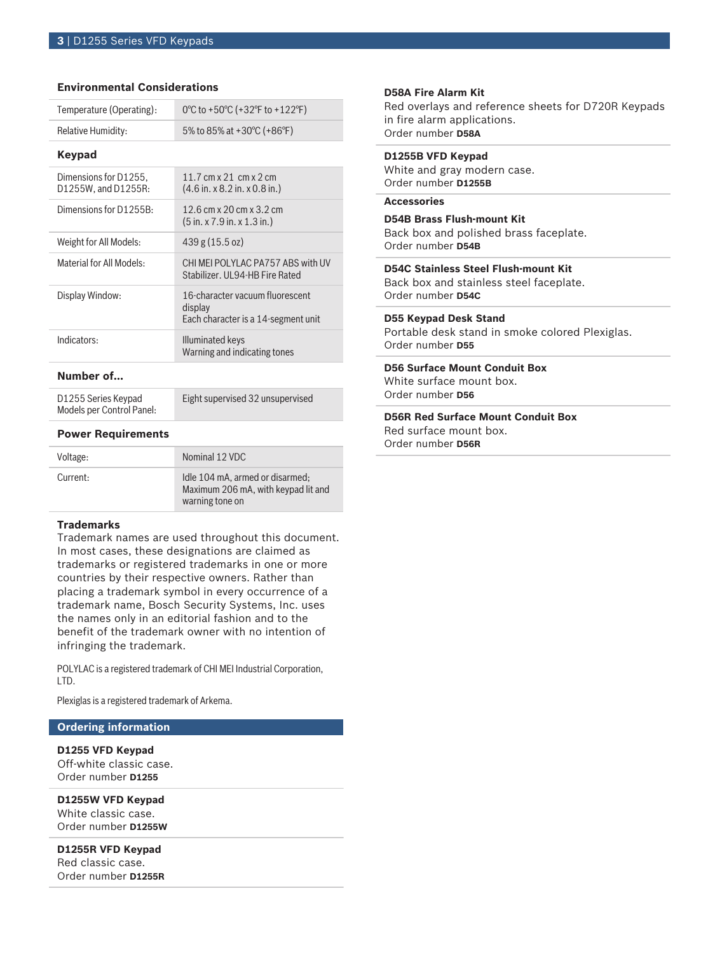# **Environmental Considerations**

| Temperature (Operating):                     | 0°C to +50°C (+32°F to +122°F)                                                          |  |
|----------------------------------------------|-----------------------------------------------------------------------------------------|--|
| Relative Humidity:                           | 5% to 85% at +30°C (+86°F)                                                              |  |
| Keypad                                       |                                                                                         |  |
| Dimensions for D1255,<br>D1255W, and D1255R: | 11.7 cm $x$ 21 cm $x$ 2 cm<br>$(4.6 \text{ in. x } 8.2 \text{ in. x } 0.8 \text{ in.})$ |  |
| Dimensions for D1255B:                       | 12.6 cm x 20 cm x 3.2 cm<br>(5 in. x 7.9 in. x 1.3 in.)                                 |  |
| Weight for All Models:                       | 439 g (15.5 oz)                                                                         |  |
| Material for All Models:                     | CHI MEI POLYLAC PA757 ABS with UV<br>Stabilizer, UL94-HB Fire Rated                     |  |
| Display Window:                              | 16-character vacuum fluorescent<br>display<br>Each character is a 14-segment unit       |  |
| Indicators:                                  | Illuminated keys<br>Warning and indicating tones                                        |  |

### **Number of…**

D1255 Series Keypad Models per Control Panel: Eight supervised 32 unsupervised

### **Power Requirements**

| Voltage: | Nominal 12 VDC                                                                            |
|----------|-------------------------------------------------------------------------------------------|
| Current: | Idle 104 mA, armed or disarmed:<br>Maximum 206 mA, with keypad lit and<br>warning tone on |

# **Trademarks**

Trademark names are used throughout this document. In most cases, these designations are claimed as trademarks or registered trademarks in one or more countries by their respective owners. Rather than placing a trademark symbol in every occurrence of a trademark name, Bosch Security Systems, Inc. uses the names only in an editorial fashion and to the benefit of the trademark owner with no intention of infringing the trademark.

POLYLAC is a registered trademark of CHI MEI Industrial Corporation, LTD.

Plexiglas is a registered trademark of Arkema.

# **Ordering information**

**D1255 VFD Keypad** Off-white classic case. Order number **D1255**

**D1255W VFD Keypad** White classic case. Order number **D1255W**

**D1255R VFD Keypad** Red classic case. Order number **D1255R**

#### **D58A Fire Alarm Kit**

Red overlays and reference sheets for D720R Keypads in fire alarm applications. Order number **D58A**

# **D1255B VFD Keypad**

White and gray modern case. Order number **D1255B**

# **Accessories**

# **D54B Brass Flush‑mount Kit**

Back box and polished brass faceplate. Order number **D54B**

# **D54C Stainless Steel Flush‑mount Kit**

Back box and stainless steel faceplate. Order number **D54C**

# **D55 Keypad Desk Stand**

Portable desk stand in smoke colored Plexiglas. Order number **D55**

# **D56 Surface Mount Conduit Box**

White surface mount box. Order number **D56**

#### **D56R Red Surface Mount Conduit Box**

Red surface mount box. Order number **D56R**